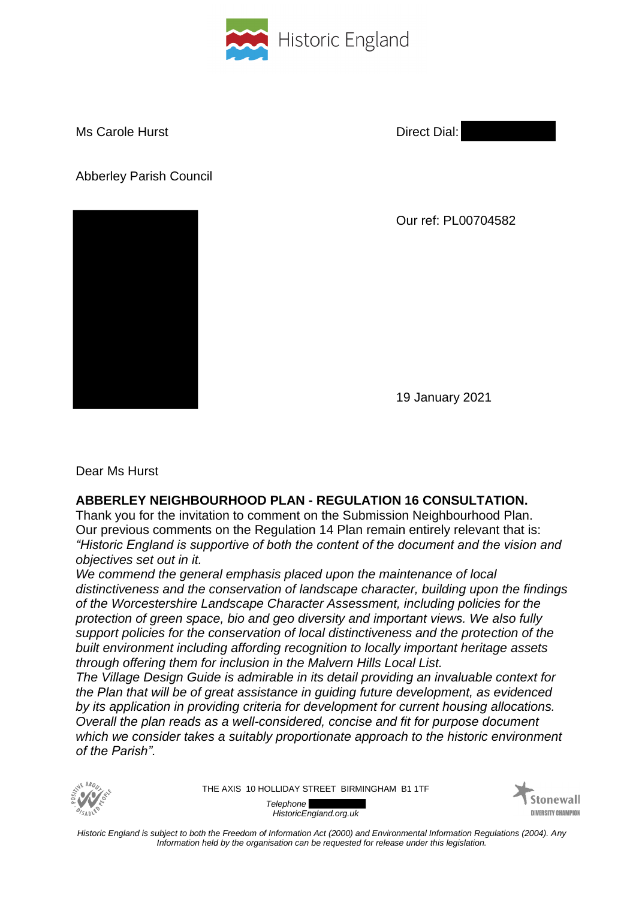

Ms Carole Hurst **Direct Dial: Direct Dial:** 

Abberley Parish Council



Our ref: PL00704582

19 January 2021

Dear Ms Hurst

## **ABBERLEY NEIGHBOURHOOD PLAN - REGULATION 16 CONSULTATION.**

Thank you for the invitation to comment on the Submission Neighbourhood Plan. Our previous comments on the Regulation 14 Plan remain entirely relevant that is: *"Historic England is supportive of both the content of the document and the vision and objectives set out in it.* 

*We commend the general emphasis placed upon the maintenance of local distinctiveness and the conservation of landscape character, building upon the findings of the Worcestershire Landscape Character Assessment, including policies for the protection of green space, bio and geo diversity and important views. We also fully support policies for the conservation of local distinctiveness and the protection of the built environment including affording recognition to locally important heritage assets through offering them for inclusion in the Malvern Hills Local List.*

*The Village Design Guide is admirable in its detail providing an invaluable context for the Plan that will be of great assistance in guiding future development, as evidenced by its application in providing criteria for development for current housing allocations. Overall the plan reads as a well-considered, concise and fit for purpose document which we consider takes a suitably proportionate approach to the historic environment of the Parish".*



THE AXIS 10 HOLLIDAY STREET BIRMINGHAM B1 1TF

*Telephone HistoricEngland.org.uk*



*Historic England is subject to both the Freedom of Information Act (2000) and Environmental Information Regulations (2004). Any Information held by the organisation can be requested for release under this legislation.*